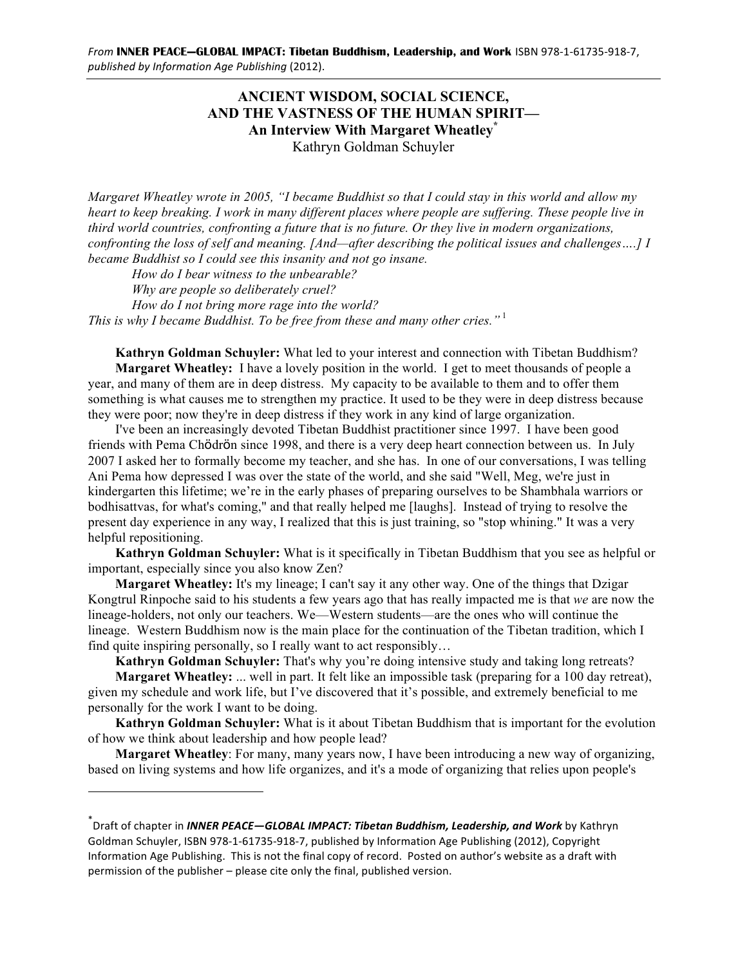## **ANCIENT WISDOM, SOCIAL SCIENCE, AND THE VASTNESS OF THE HUMAN SPIRIT— An Interview With Margaret Wheatley\*** Kathryn Goldman Schuyler

*Margaret Wheatley wrote in 2005, "I became Buddhist so that I could stay in this world and allow my heart to keep breaking. I work in many different places where people are suffering. These people live in third world countries, confronting a future that is no future. Or they live in modern organizations, confronting the loss of self and meaning. [And—after describing the political issues and challenges….] I became Buddhist so I could see this insanity and not go insane.*

*How do I bear witness to the unbearable? Why are people so deliberately cruel? How do I not bring more rage into the world? This is why I became Buddhist. To be free from these and many other cries."* <sup>1</sup>

**Kathryn Goldman Schuyler:** What led to your interest and connection with Tibetan Buddhism? **Margaret Wheatley:** I have a lovely position in the world. I get to meet thousands of people a year, and many of them are in deep distress. My capacity to be available to them and to offer them something is what causes me to strengthen my practice. It used to be they were in deep distress because they were poor; now they're in deep distress if they work in any kind of large organization.

I've been an increasingly devoted Tibetan Buddhist practitioner since 1997. I have been good friends with Pema Chödrön since 1998, and there is a very deep heart connection between us. In July 2007 I asked her to formally become my teacher, and she has. In one of our conversations, I was telling Ani Pema how depressed I was over the state of the world, and she said "Well, Meg, we're just in kindergarten this lifetime; we're in the early phases of preparing ourselves to be Shambhala warriors or bodhisattvas, for what's coming," and that really helped me [laughs]. Instead of trying to resolve the present day experience in any way, I realized that this is just training, so "stop whining." It was a very helpful repositioning.

**Kathryn Goldman Schuyler:** What is it specifically in Tibetan Buddhism that you see as helpful or important, especially since you also know Zen?

**Margaret Wheatley:** It's my lineage; I can't say it any other way. One of the things that Dzigar Kongtrul Rinpoche said to his students a few years ago that has really impacted me is that *we* are now the lineage-holders, not only our teachers. We—Western students—are the ones who will continue the lineage. Western Buddhism now is the main place for the continuation of the Tibetan tradition, which I find quite inspiring personally, so I really want to act responsibly…

**Kathryn Goldman Schuyler:** That's why you're doing intensive study and taking long retreats?

**Margaret Wheatley:** ... well in part. It felt like an impossible task (preparing for a 100 day retreat), given my schedule and work life, but I've discovered that it's possible, and extremely beneficial to me personally for the work I want to be doing.

**Kathryn Goldman Schuyler:** What is it about Tibetan Buddhism that is important for the evolution of how we think about leadership and how people lead?

**Margaret Wheatley**: For many, many years now, I have been introducing a new way of organizing, based on living systems and how life organizes, and it's a mode of organizing that relies upon people's

 $\overline{a}$ 

<sup>\*&</sup>lt;br>Draft of chapter in **INNER PEACE—GLOBAL IMPACT: Tibetan Buddhism, Leadership, and Work** by Kathryn Goldman Schuyler, ISBN 978-1-61735-918-7, published by Information Age Publishing (2012), Copyright Information Age Publishing. This is not the final copy of record. Posted on author's website as a draft with permission of the publisher – please cite only the final, published version.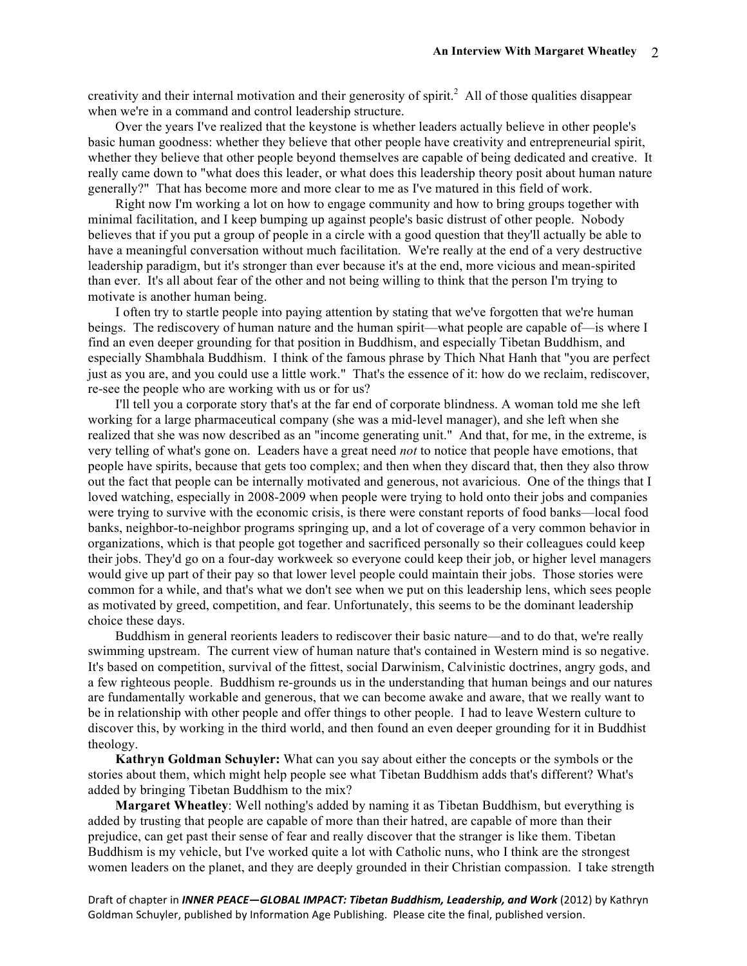creativity and their internal motivation and their generosity of spirit. 2 All of those qualities disappear when we're in a command and control leadership structure.

Over the years I've realized that the keystone is whether leaders actually believe in other people's basic human goodness: whether they believe that other people have creativity and entrepreneurial spirit, whether they believe that other people beyond themselves are capable of being dedicated and creative. It really came down to "what does this leader, or what does this leadership theory posit about human nature generally?" That has become more and more clear to me as I've matured in this field of work.

Right now I'm working a lot on how to engage community and how to bring groups together with minimal facilitation, and I keep bumping up against people's basic distrust of other people. Nobody believes that if you put a group of people in a circle with a good question that they'll actually be able to have a meaningful conversation without much facilitation. We're really at the end of a very destructive leadership paradigm, but it's stronger than ever because it's at the end, more vicious and mean-spirited than ever. It's all about fear of the other and not being willing to think that the person I'm trying to motivate is another human being.

I often try to startle people into paying attention by stating that we've forgotten that we're human beings. The rediscovery of human nature and the human spirit—what people are capable of—is where I find an even deeper grounding for that position in Buddhism, and especially Tibetan Buddhism, and especially Shambhala Buddhism. I think of the famous phrase by Thich Nhat Hanh that "you are perfect just as you are, and you could use a little work." That's the essence of it: how do we reclaim, rediscover, re-see the people who are working with us or for us?

I'll tell you a corporate story that's at the far end of corporate blindness. A woman told me she left working for a large pharmaceutical company (she was a mid-level manager), and she left when she realized that she was now described as an "income generating unit." And that, for me, in the extreme, is very telling of what's gone on. Leaders have a great need *not* to notice that people have emotions, that people have spirits, because that gets too complex; and then when they discard that, then they also throw out the fact that people can be internally motivated and generous, not avaricious. One of the things that I loved watching, especially in 2008-2009 when people were trying to hold onto their jobs and companies were trying to survive with the economic crisis, is there were constant reports of food banks—local food banks, neighbor-to-neighbor programs springing up, and a lot of coverage of a very common behavior in organizations, which is that people got together and sacrificed personally so their colleagues could keep their jobs. They'd go on a four-day workweek so everyone could keep their job, or higher level managers would give up part of their pay so that lower level people could maintain their jobs. Those stories were common for a while, and that's what we don't see when we put on this leadership lens, which sees people as motivated by greed, competition, and fear. Unfortunately, this seems to be the dominant leadership choice these days.

Buddhism in general reorients leaders to rediscover their basic nature—and to do that, we're really swimming upstream. The current view of human nature that's contained in Western mind is so negative. It's based on competition, survival of the fittest, social Darwinism, Calvinistic doctrines, angry gods, and a few righteous people. Buddhism re-grounds us in the understanding that human beings and our natures are fundamentally workable and generous, that we can become awake and aware, that we really want to be in relationship with other people and offer things to other people. I had to leave Western culture to discover this, by working in the third world, and then found an even deeper grounding for it in Buddhist theology.

**Kathryn Goldman Schuyler:** What can you say about either the concepts or the symbols or the stories about them, which might help people see what Tibetan Buddhism adds that's different? What's added by bringing Tibetan Buddhism to the mix?

**Margaret Wheatley**: Well nothing's added by naming it as Tibetan Buddhism, but everything is added by trusting that people are capable of more than their hatred, are capable of more than their prejudice, can get past their sense of fear and really discover that the stranger is like them. Tibetan Buddhism is my vehicle, but I've worked quite a lot with Catholic nuns, who I think are the strongest women leaders on the planet, and they are deeply grounded in their Christian compassion. I take strength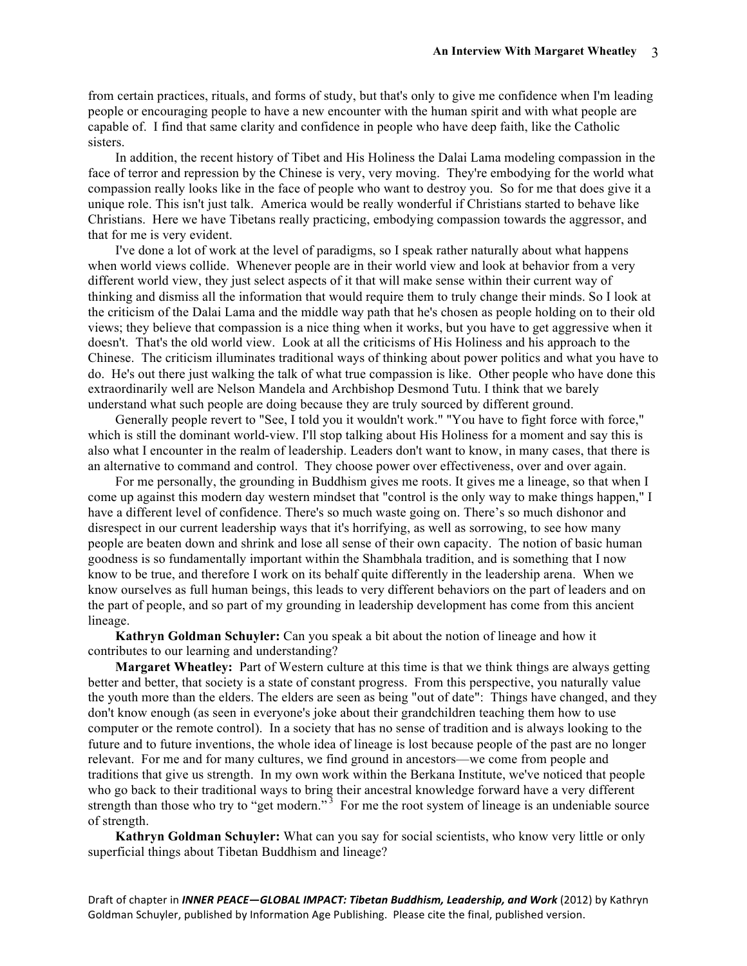from certain practices, rituals, and forms of study, but that's only to give me confidence when I'm leading people or encouraging people to have a new encounter with the human spirit and with what people are capable of. I find that same clarity and confidence in people who have deep faith, like the Catholic sisters.

In addition, the recent history of Tibet and His Holiness the Dalai Lama modeling compassion in the face of terror and repression by the Chinese is very, very moving. They're embodying for the world what compassion really looks like in the face of people who want to destroy you. So for me that does give it a unique role. This isn't just talk. America would be really wonderful if Christians started to behave like Christians. Here we have Tibetans really practicing, embodying compassion towards the aggressor, and that for me is very evident.

I've done a lot of work at the level of paradigms, so I speak rather naturally about what happens when world views collide. Whenever people are in their world view and look at behavior from a very different world view, they just select aspects of it that will make sense within their current way of thinking and dismiss all the information that would require them to truly change their minds. So I look at the criticism of the Dalai Lama and the middle way path that he's chosen as people holding on to their old views; they believe that compassion is a nice thing when it works, but you have to get aggressive when it doesn't. That's the old world view. Look at all the criticisms of His Holiness and his approach to the Chinese. The criticism illuminates traditional ways of thinking about power politics and what you have to do. He's out there just walking the talk of what true compassion is like. Other people who have done this extraordinarily well are Nelson Mandela and Archbishop Desmond Tutu. I think that we barely understand what such people are doing because they are truly sourced by different ground.

Generally people revert to "See, I told you it wouldn't work." "You have to fight force with force," which is still the dominant world-view. I'll stop talking about His Holiness for a moment and say this is also what I encounter in the realm of leadership. Leaders don't want to know, in many cases, that there is an alternative to command and control. They choose power over effectiveness, over and over again.

For me personally, the grounding in Buddhism gives me roots. It gives me a lineage, so that when I come up against this modern day western mindset that "control is the only way to make things happen," I have a different level of confidence. There's so much waste going on. There's so much dishonor and disrespect in our current leadership ways that it's horrifying, as well as sorrowing, to see how many people are beaten down and shrink and lose all sense of their own capacity. The notion of basic human goodness is so fundamentally important within the Shambhala tradition, and is something that I now know to be true, and therefore I work on its behalf quite differently in the leadership arena. When we know ourselves as full human beings, this leads to very different behaviors on the part of leaders and on the part of people, and so part of my grounding in leadership development has come from this ancient lineage.

**Kathryn Goldman Schuyler:** Can you speak a bit about the notion of lineage and how it contributes to our learning and understanding?

**Margaret Wheatley:** Part of Western culture at this time is that we think things are always getting better and better, that society is a state of constant progress. From this perspective, you naturally value the youth more than the elders. The elders are seen as being "out of date": Things have changed, and they don't know enough (as seen in everyone's joke about their grandchildren teaching them how to use computer or the remote control). In a society that has no sense of tradition and is always looking to the future and to future inventions, the whole idea of lineage is lost because people of the past are no longer relevant. For me and for many cultures, we find ground in ancestors—we come from people and traditions that give us strength. In my own work within the Berkana Institute, we've noticed that people who go back to their traditional ways to bring their ancestral knowledge forward have a very different strength than those who try to "get modern."<sup>3</sup> For me the root system of lineage is an undeniable source of strength.

**Kathryn Goldman Schuyler:** What can you say for social scientists, who know very little or only superficial things about Tibetan Buddhism and lineage?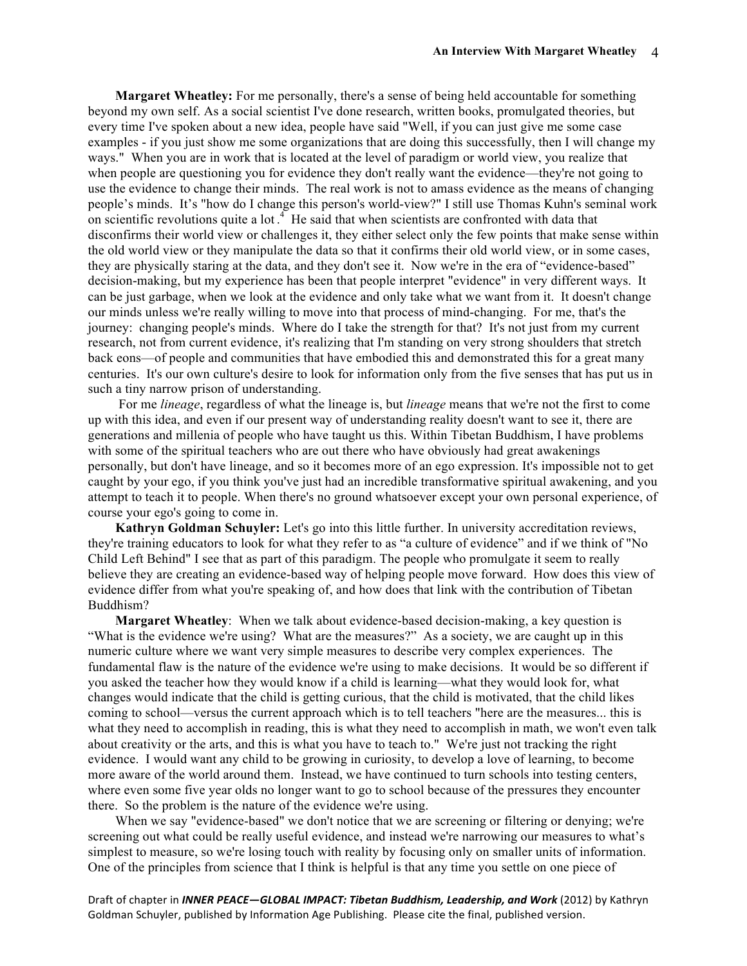**Margaret Wheatley:** For me personally, there's a sense of being held accountable for something beyond my own self. As a social scientist I've done research, written books, promulgated theories, but every time I've spoken about a new idea, people have said "Well, if you can just give me some case examples - if you just show me some organizations that are doing this successfully, then I will change my ways." When you are in work that is located at the level of paradigm or world view, you realize that when people are questioning you for evidence they don't really want the evidence—they're not going to use the evidence to change their minds. The real work is not to amass evidence as the means of changing people's minds. It's "how do I change this person's world-view?" I still use Thomas Kuhn's seminal work on scientific revolutions quite a lot.<sup>4</sup> He said that when scientists are confronted with data that disconfirms their world view or challenges it, they either select only the few points that make sense within the old world view or they manipulate the data so that it confirms their old world view, or in some cases, they are physically staring at the data, and they don't see it. Now we're in the era of "evidence-based" decision-making, but my experience has been that people interpret "evidence" in very different ways. It can be just garbage, when we look at the evidence and only take what we want from it. It doesn't change our minds unless we're really willing to move into that process of mind-changing. For me, that's the journey: changing people's minds. Where do I take the strength for that? It's not just from my current research, not from current evidence, it's realizing that I'm standing on very strong shoulders that stretch back eons—of people and communities that have embodied this and demonstrated this for a great many centuries. It's our own culture's desire to look for information only from the five senses that has put us in such a tiny narrow prison of understanding.

 For me *lineage*, regardless of what the lineage is, but *lineage* means that we're not the first to come up with this idea, and even if our present way of understanding reality doesn't want to see it, there are generations and millenia of people who have taught us this. Within Tibetan Buddhism, I have problems with some of the spiritual teachers who are out there who have obviously had great awakenings personally, but don't have lineage, and so it becomes more of an ego expression. It's impossible not to get caught by your ego, if you think you've just had an incredible transformative spiritual awakening, and you attempt to teach it to people. When there's no ground whatsoever except your own personal experience, of course your ego's going to come in.

**Kathryn Goldman Schuyler:** Let's go into this little further. In university accreditation reviews, they're training educators to look for what they refer to as "a culture of evidence" and if we think of "No Child Left Behind" I see that as part of this paradigm. The people who promulgate it seem to really believe they are creating an evidence-based way of helping people move forward. How does this view of evidence differ from what you're speaking of, and how does that link with the contribution of Tibetan Buddhism?

**Margaret Wheatley**: When we talk about evidence-based decision-making, a key question is "What is the evidence we're using? What are the measures?" As a society, we are caught up in this numeric culture where we want very simple measures to describe very complex experiences. The fundamental flaw is the nature of the evidence we're using to make decisions. It would be so different if you asked the teacher how they would know if a child is learning—what they would look for, what changes would indicate that the child is getting curious, that the child is motivated, that the child likes coming to school—versus the current approach which is to tell teachers "here are the measures... this is what they need to accomplish in reading, this is what they need to accomplish in math, we won't even talk about creativity or the arts, and this is what you have to teach to." We're just not tracking the right evidence. I would want any child to be growing in curiosity, to develop a love of learning, to become more aware of the world around them. Instead, we have continued to turn schools into testing centers, where even some five year olds no longer want to go to school because of the pressures they encounter there. So the problem is the nature of the evidence we're using.

When we say "evidence-based" we don't notice that we are screening or filtering or denying; we're screening out what could be really useful evidence, and instead we're narrowing our measures to what's simplest to measure, so we're losing touch with reality by focusing only on smaller units of information. One of the principles from science that I think is helpful is that any time you settle on one piece of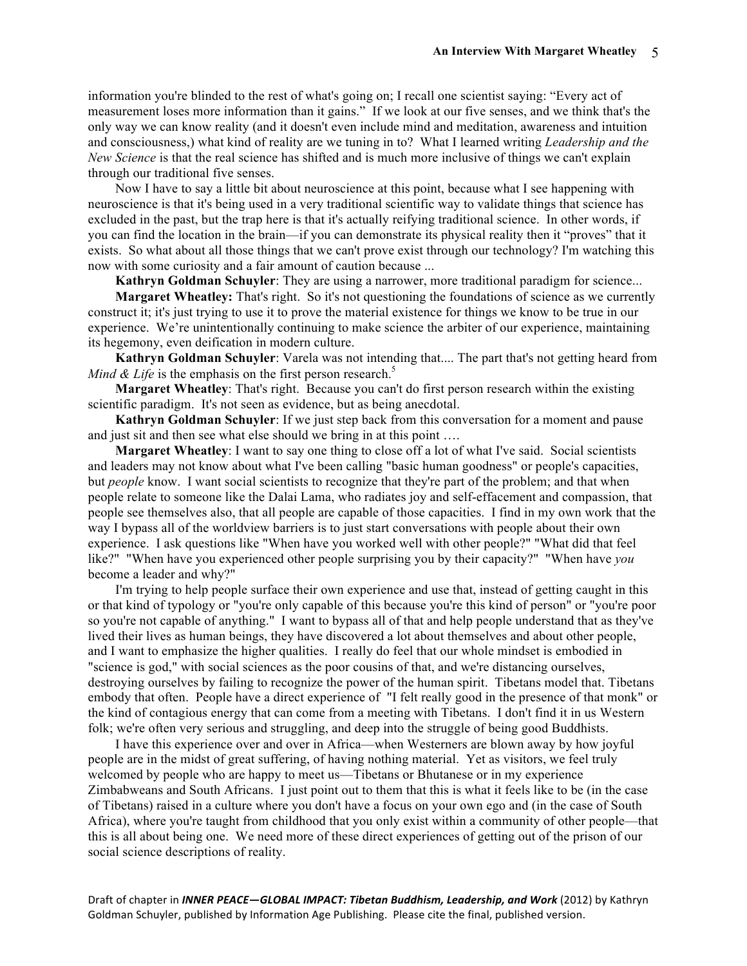information you're blinded to the rest of what's going on; I recall one scientist saying: "Every act of measurement loses more information than it gains." If we look at our five senses, and we think that's the only way we can know reality (and it doesn't even include mind and meditation, awareness and intuition and consciousness,) what kind of reality are we tuning in to? What I learned writing *Leadership and the New Science* is that the real science has shifted and is much more inclusive of things we can't explain through our traditional five senses.

Now I have to say a little bit about neuroscience at this point, because what I see happening with neuroscience is that it's being used in a very traditional scientific way to validate things that science has excluded in the past, but the trap here is that it's actually reifying traditional science. In other words, if you can find the location in the brain—if you can demonstrate its physical reality then it "proves" that it exists. So what about all those things that we can't prove exist through our technology? I'm watching this now with some curiosity and a fair amount of caution because ...

**Kathryn Goldman Schuyler**: They are using a narrower, more traditional paradigm for science...

**Margaret Wheatley:** That's right. So it's not questioning the foundations of science as we currently construct it; it's just trying to use it to prove the material existence for things we know to be true in our experience. We're unintentionally continuing to make science the arbiter of our experience, maintaining its hegemony, even deification in modern culture.

**Kathryn Goldman Schuyler**: Varela was not intending that.... The part that's not getting heard from *Mind & Life* is the emphasis on the first person research.<sup>5</sup>

**Margaret Wheatley**: That's right. Because you can't do first person research within the existing scientific paradigm. It's not seen as evidence, but as being anecdotal.

**Kathryn Goldman Schuyler**: If we just step back from this conversation for a moment and pause and just sit and then see what else should we bring in at this point ….

**Margaret Wheatley**: I want to say one thing to close off a lot of what I've said. Social scientists and leaders may not know about what I've been calling "basic human goodness" or people's capacities, but *people* know. I want social scientists to recognize that they're part of the problem; and that when people relate to someone like the Dalai Lama, who radiates joy and self-effacement and compassion, that people see themselves also, that all people are capable of those capacities. I find in my own work that the way I bypass all of the worldview barriers is to just start conversations with people about their own experience. I ask questions like "When have you worked well with other people?" "What did that feel like?" "When have you experienced other people surprising you by their capacity?" "When have *you* become a leader and why?"

I'm trying to help people surface their own experience and use that, instead of getting caught in this or that kind of typology or "you're only capable of this because you're this kind of person" or "you're poor so you're not capable of anything." I want to bypass all of that and help people understand that as they've lived their lives as human beings, they have discovered a lot about themselves and about other people, and I want to emphasize the higher qualities. I really do feel that our whole mindset is embodied in "science is god," with social sciences as the poor cousins of that, and we're distancing ourselves, destroying ourselves by failing to recognize the power of the human spirit. Tibetans model that. Tibetans embody that often. People have a direct experience of "I felt really good in the presence of that monk" or the kind of contagious energy that can come from a meeting with Tibetans. I don't find it in us Western folk; we're often very serious and struggling, and deep into the struggle of being good Buddhists.

I have this experience over and over in Africa—when Westerners are blown away by how joyful people are in the midst of great suffering, of having nothing material. Yet as visitors, we feel truly welcomed by people who are happy to meet us—Tibetans or Bhutanese or in my experience Zimbabweans and South Africans. I just point out to them that this is what it feels like to be (in the case of Tibetans) raised in a culture where you don't have a focus on your own ego and (in the case of South Africa), where you're taught from childhood that you only exist within a community of other people—that this is all about being one. We need more of these direct experiences of getting out of the prison of our social science descriptions of reality.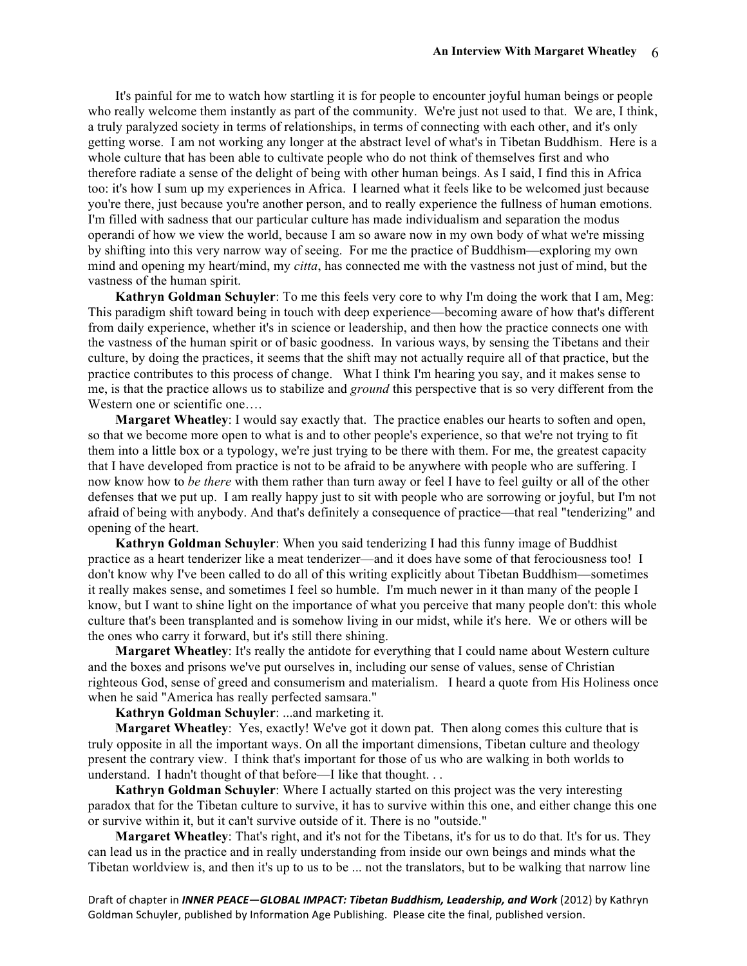It's painful for me to watch how startling it is for people to encounter joyful human beings or people who really welcome them instantly as part of the community. We're just not used to that. We are, I think, a truly paralyzed society in terms of relationships, in terms of connecting with each other, and it's only getting worse. I am not working any longer at the abstract level of what's in Tibetan Buddhism. Here is a whole culture that has been able to cultivate people who do not think of themselves first and who therefore radiate a sense of the delight of being with other human beings. As I said, I find this in Africa too: it's how I sum up my experiences in Africa. I learned what it feels like to be welcomed just because you're there, just because you're another person, and to really experience the fullness of human emotions. I'm filled with sadness that our particular culture has made individualism and separation the modus operandi of how we view the world, because I am so aware now in my own body of what we're missing by shifting into this very narrow way of seeing. For me the practice of Buddhism—exploring my own mind and opening my heart/mind, my *citta*, has connected me with the vastness not just of mind, but the vastness of the human spirit.

**Kathryn Goldman Schuyler**: To me this feels very core to why I'm doing the work that I am, Meg: This paradigm shift toward being in touch with deep experience—becoming aware of how that's different from daily experience, whether it's in science or leadership, and then how the practice connects one with the vastness of the human spirit or of basic goodness. In various ways, by sensing the Tibetans and their culture, by doing the practices, it seems that the shift may not actually require all of that practice, but the practice contributes to this process of change. What I think I'm hearing you say, and it makes sense to me, is that the practice allows us to stabilize and *ground* this perspective that is so very different from the Western one or scientific one....

**Margaret Wheatley**: I would say exactly that. The practice enables our hearts to soften and open, so that we become more open to what is and to other people's experience, so that we're not trying to fit them into a little box or a typology, we're just trying to be there with them. For me, the greatest capacity that I have developed from practice is not to be afraid to be anywhere with people who are suffering. I now know how to *be there* with them rather than turn away or feel I have to feel guilty or all of the other defenses that we put up. I am really happy just to sit with people who are sorrowing or joyful, but I'm not afraid of being with anybody. And that's definitely a consequence of practice—that real "tenderizing" and opening of the heart.

**Kathryn Goldman Schuyler**: When you said tenderizing I had this funny image of Buddhist practice as a heart tenderizer like a meat tenderizer—and it does have some of that ferociousness too! I don't know why I've been called to do all of this writing explicitly about Tibetan Buddhism—sometimes it really makes sense, and sometimes I feel so humble. I'm much newer in it than many of the people I know, but I want to shine light on the importance of what you perceive that many people don't: this whole culture that's been transplanted and is somehow living in our midst, while it's here. We or others will be the ones who carry it forward, but it's still there shining.

**Margaret Wheatley**: It's really the antidote for everything that I could name about Western culture and the boxes and prisons we've put ourselves in, including our sense of values, sense of Christian righteous God, sense of greed and consumerism and materialism. I heard a quote from His Holiness once when he said "America has really perfected samsara."

**Kathryn Goldman Schuyler**: ...and marketing it.

**Margaret Wheatley**: Yes, exactly! We've got it down pat. Then along comes this culture that is truly opposite in all the important ways. On all the important dimensions, Tibetan culture and theology present the contrary view. I think that's important for those of us who are walking in both worlds to understand. I hadn't thought of that before—I like that thought. . .

**Kathryn Goldman Schuyler**: Where I actually started on this project was the very interesting paradox that for the Tibetan culture to survive, it has to survive within this one, and either change this one or survive within it, but it can't survive outside of it. There is no "outside."

**Margaret Wheatley**: That's right, and it's not for the Tibetans, it's for us to do that. It's for us. They can lead us in the practice and in really understanding from inside our own beings and minds what the Tibetan worldview is, and then it's up to us to be ... not the translators, but to be walking that narrow line